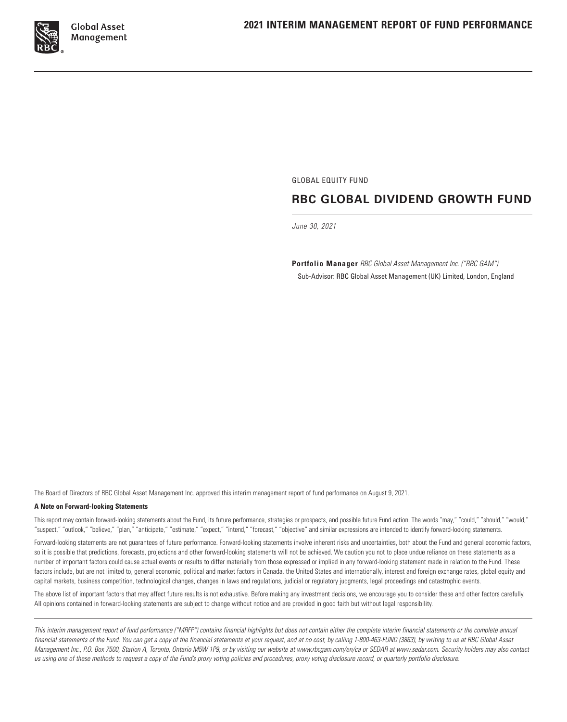

GLOBAL EQUITY FUND

# **RBC GLOBAL DIVIDEND GROWTH FUND**

*June 30, 2021*

**Portfolio Manager** *RBC Global Asset Management Inc. ("RBC GAM")* Sub‑Advisor: RBC Global Asset Management (UK) Limited, London, England

The Board of Directors of RBC Global Asset Management Inc. approved this interim management report of fund performance on August 9, 2021.

#### **A Note on Forward‑looking Statements**

This report may contain forward‑looking statements about the Fund, its future performance, strategies or prospects, and possible future Fund action. The words "may," "could," "should," "would," "suspect," "outlook," "believe," "plan," "anticipate," "estimate," "expect," "intend," "forecast," "objective" and similar expressions are intended to identify forward‑looking statements.

Forward-looking statements are not guarantees of future performance. Forward-looking statements involve inherent risks and uncertainties, both about the Fund and general economic factors, so it is possible that predictions, forecasts, projections and other forward-looking statements will not be achieved. We caution you not to place undue reliance on these statements as a number of important factors could cause actual events or results to differ materially from those expressed or implied in any forward‑looking statement made in relation to the Fund. These factors include, but are not limited to, general economic, political and market factors in Canada, the United States and internationally, interest and foreign exchange rates, global equity and capital markets, business competition, technological changes, changes in laws and regulations, judicial or regulatory judgments, legal proceedings and catastrophic events.

The above list of important factors that may affect future results is not exhaustive. Before making any investment decisions, we encourage you to consider these and other factors carefully. All opinions contained in forward‑looking statements are subject to change without notice and are provided in good faith but without legal responsibility.

*This interim management report of fund performance ("MRFP") contains financial highlights but does not contain either the complete interim financial statements or the complete annual financial statements of the Fund. You can get a copy of the financial statements at your request, and at no cost, by calling 1‑800‑463‑FUND (3863), by writing to us at RBC Global Asset Management Inc., P.O. Box 7500, Station A, Toronto, Ontario M5W 1P9, or by visiting our website at www.rbcgam.com/en/ca or SEDAR at www.sedar.com. Security holders may also contact us using one of these methods to request a copy of the Fund's proxy voting policies and procedures, proxy voting disclosure record, or quarterly portfolio disclosure.*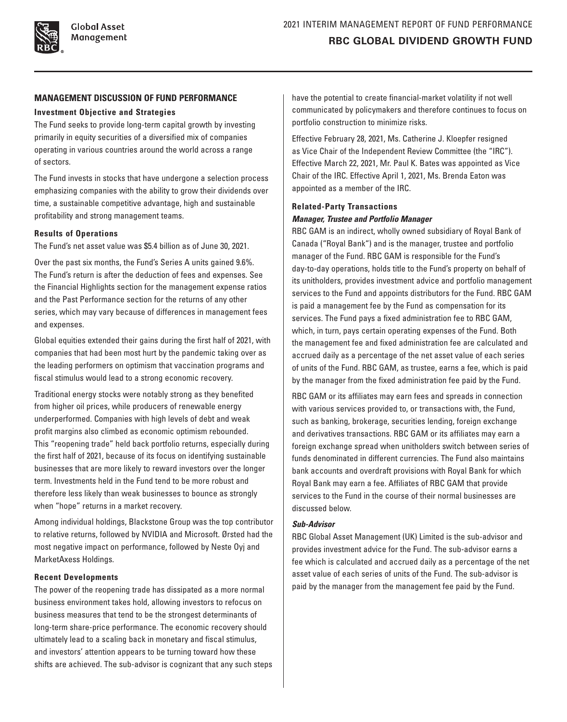### **MANAGEMENT DISCUSSION OF FUND PERFORMANCE**

#### **Investment Objective and Strategies**

The Fund seeks to provide long-term capital growth by investing primarily in equity securities of a diversified mix of companies operating in various countries around the world across a range of sectors.

The Fund invests in stocks that have undergone a selection process emphasizing companies with the ability to grow their dividends over time, a sustainable competitive advantage, high and sustainable profitability and strong management teams.

#### **Results of Operations**

The Fund's net asset value was \$5.4 billion as of June 30, 2021.

Over the past six months, the Fund's Series A units gained 9.6%. The Fund's return is after the deduction of fees and expenses. See the Financial Highlights section for the management expense ratios and the Past Performance section for the returns of any other series, which may vary because of differences in management fees and expenses.

Global equities extended their gains during the first half of 2021, with companies that had been most hurt by the pandemic taking over as the leading performers on optimism that vaccination programs and fiscal stimulus would lead to a strong economic recovery.

Traditional energy stocks were notably strong as they benefited from higher oil prices, while producers of renewable energy underperformed. Companies with high levels of debt and weak profit margins also climbed as economic optimism rebounded. This "reopening trade" held back portfolio returns, especially during the first half of 2021, because of its focus on identifying sustainable businesses that are more likely to reward investors over the longer term. Investments held in the Fund tend to be more robust and therefore less likely than weak businesses to bounce as strongly when "hope" returns in a market recovery.

Among individual holdings, Blackstone Group was the top contributor to relative returns, followed by NVIDIA and Microsoft. Ørsted had the most negative impact on performance, followed by Neste Oyj and MarketAxess Holdings.

#### **Recent Developments**

The power of the reopening trade has dissipated as a more normal business environment takes hold, allowing investors to refocus on business measures that tend to be the strongest determinants of long-term share-price performance. The economic recovery should ultimately lead to a scaling back in monetary and fiscal stimulus, and investors' attention appears to be turning toward how these shifts are achieved. The sub-advisor is cognizant that any such steps have the potential to create financial-market volatility if not well communicated by policymakers and therefore continues to focus on portfolio construction to minimize risks.

Effective February 28, 2021, Ms. Catherine J. Kloepfer resigned as Vice Chair of the Independent Review Committee (the "IRC"). Effective March 22, 2021, Mr. Paul K. Bates was appointed as Vice Chair of the IRC. Effective April 1, 2021, Ms. Brenda Eaton was appointed as a member of the IRC.

# **Related‑Party Transactions** *Manager, Trustee and Portfolio Manager*

RBC GAM is an indirect, wholly owned subsidiary of Royal Bank of Canada ("Royal Bank") and is the manager, trustee and portfolio manager of the Fund. RBC GAM is responsible for the Fund's day‑to‑day operations, holds title to the Fund's property on behalf of its unitholders, provides investment advice and portfolio management services to the Fund and appoints distributors for the Fund. RBC GAM is paid a management fee by the Fund as compensation for its services. The Fund pays a fixed administration fee to RBC GAM, which, in turn, pays certain operating expenses of the Fund. Both the management fee and fixed administration fee are calculated and accrued daily as a percentage of the net asset value of each series of units of the Fund. RBC GAM, as trustee, earns a fee, which is paid by the manager from the fixed administration fee paid by the Fund.

RBC GAM or its affiliates may earn fees and spreads in connection with various services provided to, or transactions with, the Fund, such as banking, brokerage, securities lending, foreign exchange and derivatives transactions. RBC GAM or its affiliates may earn a foreign exchange spread when unitholders switch between series of funds denominated in different currencies. The Fund also maintains bank accounts and overdraft provisions with Royal Bank for which Royal Bank may earn a fee. Affiliates of RBC GAM that provide services to the Fund in the course of their normal businesses are discussed below.

# *Sub‑Advisor*

RBC Global Asset Management (UK) Limited is the sub-advisor and provides investment advice for the Fund. The sub‑advisor earns a fee which is calculated and accrued daily as a percentage of the net asset value of each series of units of the Fund. The sub-advisor is paid by the manager from the management fee paid by the Fund.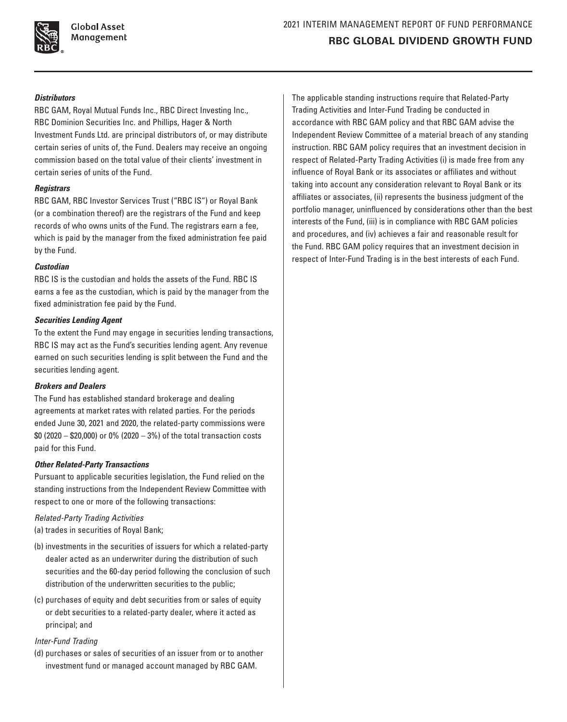

**Global Asset** Management

# *Distributors*

RBC GAM, Royal Mutual Funds Inc., RBC Direct Investing Inc., RBC Dominion Securities Inc. and Phillips, Hager & North Investment Funds Ltd. are principal distributors of, or may distribute certain series of units of, the Fund. Dealers may receive an ongoing commission based on the total value of their clients' investment in certain series of units of the Fund.

### *Registrars*

RBC GAM, RBC Investor Services Trust ("RBC IS") or Royal Bank (or a combination thereof) are the registrars of the Fund and keep records of who owns units of the Fund. The registrars earn a fee, which is paid by the manager from the fixed administration fee paid by the Fund.

### *Custodian*

RBC IS is the custodian and holds the assets of the Fund. RBC IS earns a fee as the custodian, which is paid by the manager from the fixed administration fee paid by the Fund.

# *Securities Lending Agent*

To the extent the Fund may engage in securities lending transactions, RBC IS may act as the Fund's securities lending agent. Any revenue earned on such securities lending is split between the Fund and the securities lending agent.

# *Brokers and Dealers*

The Fund has established standard brokerage and dealing agreements at market rates with related parties. For the periods ended June 30, 2021 and 2020, the related-party commissions were \$0 (2020 – \$20,000) or 0% (2020 – 3%) of the total transaction costs paid for this Fund.

# *Other Related‑Party Transactions*

Pursuant to applicable securities legislation, the Fund relied on the standing instructions from the Independent Review Committee with respect to one or more of the following transactions:

# *Related‑Party Trading Activities*

(a) trades in securities of Royal Bank;

- (b) investments in the securities of issuers for which a related-party dealer acted as an underwriter during the distribution of such securities and the 60-day period following the conclusion of such distribution of the underwritten securities to the public;
- (c) purchases of equity and debt securities from or sales of equity or debt securities to a related-party dealer, where it acted as principal; and

# *Inter‑Fund Trading*

(d) purchases or sales of securities of an issuer from or to another investment fund or managed account managed by RBC GAM.

The applicable standing instructions require that Related‑Party Trading Activities and Inter‑Fund Trading be conducted in accordance with RBC GAM policy and that RBC GAM advise the Independent Review Committee of a material breach of any standing instruction. RBC GAM policy requires that an investment decision in respect of Related-Party Trading Activities (i) is made free from any influence of Royal Bank or its associates or affiliates and without taking into account any consideration relevant to Royal Bank or its affiliates or associates, (ii) represents the business judgment of the portfolio manager, uninfluenced by considerations other than the best interests of the Fund, (iii) is in compliance with RBC GAM policies and procedures, and (iv) achieves a fair and reasonable result for the Fund. RBC GAM policy requires that an investment decision in respect of Inter-Fund Trading is in the best interests of each Fund.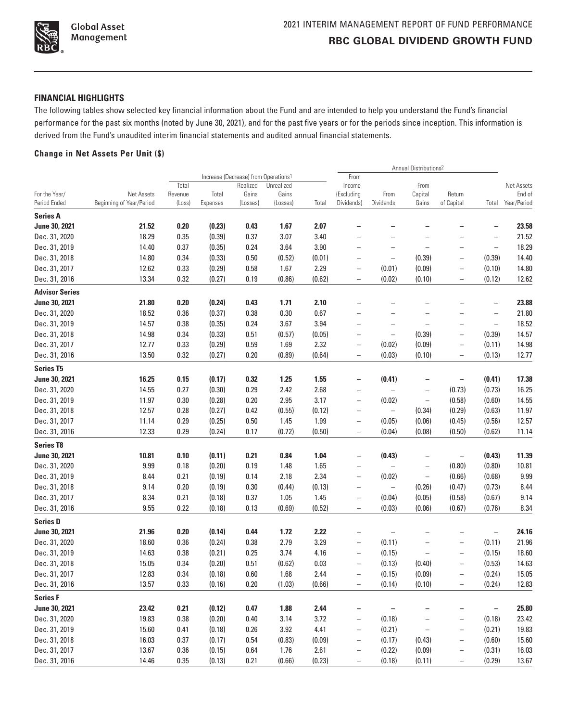

# **FINANCIAL HIGHLIGHTS**

The following tables show selected key financial information about the Fund and are intended to help you understand the Fund's financial performance for the past six months (noted by June 30, 2021), and for the past five years or for the periods since inception. This information is derived from the Fund's unaudited interim financial statements and audited annual financial statements.

# **Change in Net Assets Per Unit (\$)**

|                                  |                          |         |          |                                                  |            |        |                          |                          | <b>Annual Distributions2</b> |                          |                          |             |
|----------------------------------|--------------------------|---------|----------|--------------------------------------------------|------------|--------|--------------------------|--------------------------|------------------------------|--------------------------|--------------------------|-------------|
|                                  |                          |         |          | Increase (Decrease) from Operations <sup>1</sup> |            |        | From                     |                          |                              |                          |                          |             |
|                                  |                          | Total   |          | Realized                                         | Unrealized |        | Income                   |                          | From                         |                          |                          | Net Assets  |
| For the Year/                    | Net Assets               | Revenue | Total    | Gains                                            | Gains      |        | (Excluding               | From                     | Capital                      | Return                   |                          | End of      |
| Period Ended                     | Beginning of Year/Period | (Loss)  | Expenses | (Losses)                                         | (Losses)   | Total  | Dividends)               | Dividends                | Gains                        | of Capital               | Total                    | Year/Period |
| <b>Series A</b><br>June 30, 2021 | 21.52                    | 0.20    | (0.23)   | 0.43                                             | 1.67       | 2.07   |                          |                          |                              |                          |                          | 23.58       |
|                                  |                          |         |          |                                                  |            |        |                          |                          |                              |                          |                          |             |
| Dec. 31, 2020                    | 18.29                    | 0.35    | (0.39)   | 0.37                                             | 3.07       | 3.40   | $\overline{\phantom{0}}$ | $\overline{\phantom{0}}$ | $\overline{a}$               |                          | —                        | 21.52       |
| Dec. 31, 2019                    | 14.40                    | 0.37    | (0.35)   | 0.24                                             | 3.64       | 3.90   | $\overline{\phantom{0}}$ |                          | $\overline{a}$               | $\overline{\phantom{0}}$ | $\overline{\phantom{0}}$ | 18.29       |
| Dec. 31, 2018                    | 14.80                    | 0.34    | (0.33)   | 0.50                                             | (0.52)     | (0.01) | -                        | $\qquad \qquad -$        | (0.39)                       | $\overline{\phantom{0}}$ | (0.39)                   | 14.40       |
| Dec. 31, 2017                    | 12.62                    | 0.33    | (0.29)   | 0.58                                             | 1.67       | 2.29   | $\overline{\phantom{0}}$ | (0.01)                   | (0.09)                       | $\overline{\phantom{0}}$ | (0.10)                   | 14.80       |
| Dec. 31, 2016                    | 13.34                    | 0.32    | (0.27)   | 0.19                                             | (0.86)     | (0.62) | $\overline{\phantom{0}}$ | (0.02)                   | (0.10)                       | $\qquad \qquad -$        | (0.12)                   | 12.62       |
| <b>Advisor Series</b>            |                          |         |          |                                                  |            |        |                          |                          |                              |                          |                          |             |
| June 30, 2021                    | 21.80                    | 0.20    | (0.24)   | 0.43                                             | 1.71       | 2.10   |                          |                          |                              |                          |                          | 23.88       |
| Dec. 31, 2020                    | 18.52                    | 0.36    | (0.37)   | 0.38                                             | 0.30       | 0.67   |                          |                          | $\overline{\phantom{0}}$     | $\overline{\phantom{0}}$ | $\overline{\phantom{0}}$ | 21.80       |
| Dec. 31, 2019                    | 14.57                    | 0.38    | (0.35)   | 0.24                                             | 3.67       | 3.94   | $\overline{\phantom{0}}$ |                          | $\overline{\phantom{0}}$     | $\overline{\phantom{0}}$ | $\overline{\phantom{a}}$ | 18.52       |
| Dec. 31, 2018                    | 14.98                    | 0.34    | (0.33)   | 0.51                                             | (0.57)     | (0.05) | -                        | $\qquad \qquad -$        | (0.39)                       | $\overline{\phantom{0}}$ | (0.39)                   | 14.57       |
| Dec. 31, 2017                    | 12.77                    | 0.33    | (0.29)   | 0.59                                             | 1.69       | 2.32   | —                        | (0.02)                   | (0.09)                       | -                        | (0.11)                   | 14.98       |
| Dec. 31, 2016                    | 13.50                    | 0.32    | (0.27)   | 0.20                                             | (0.89)     | (0.64) | $\overline{\phantom{0}}$ | (0.03)                   | (0.10)                       | $\overline{\phantom{0}}$ | (0.13)                   | 12.77       |
| <b>Series T5</b>                 |                          |         |          |                                                  |            |        |                          |                          |                              |                          |                          |             |
| June 30, 2021                    | 16.25                    | 0.15    | (0.17)   | 0.32                                             | 1.25       | 1.55   | -                        | (0.41)                   | -                            |                          | (0.41)                   | 17.38       |
| Dec. 31, 2020                    | 14.55                    | 0.27    | (0.30)   | 0.29                                             | 2.42       | 2.68   | -                        | $\overline{\phantom{a}}$ | $\qquad \qquad -$            | (0.73)                   | (0.73)                   | 16.25       |
| Dec. 31, 2019                    | 11.97                    | 0.30    | (0.28)   | 0.20                                             | 2.95       | 3.17   | $\qquad \qquad -$        | (0.02)                   | $\qquad \qquad -$            | (0.58)                   | (0.60)                   | 14.55       |
| Dec. 31, 2018                    | 12.57                    | 0.28    | (0.27)   | 0.42                                             | (0.55)     | (0.12) | -                        | $\overline{\phantom{0}}$ | (0.34)                       | (0.29)                   | (0.63)                   | 11.97       |
| Dec. 31, 2017                    | 11.14                    | 0.29    | (0.25)   | 0.50                                             | 1.45       | 1.99   | $\overline{\phantom{0}}$ | (0.05)                   | (0.06)                       | (0.45)                   | (0.56)                   | 12.57       |
| Dec. 31, 2016                    | 12.33                    | 0.29    | (0.24)   | 0.17                                             | (0.72)     | (0.50) | $\qquad \qquad -$        | (0.04)                   | (0.08)                       | (0.50)                   | (0.62)                   | 11.14       |
| <b>Series T8</b>                 |                          |         |          |                                                  |            |        |                          |                          |                              |                          |                          |             |
| June 30, 2021                    | 10.81                    | 0.10    | (0.11)   | 0.21                                             | 0.84       | 1.04   | $\overline{\phantom{0}}$ | (0.43)                   | —                            | $\qquad \qquad -$        | (0.43)                   | 11.39       |
| Dec. 31, 2020                    | 9.99                     | 0.18    | (0.20)   | 0.19                                             | 1.48       | 1.65   | $\overline{\phantom{0}}$ | $\qquad \qquad -$        | $\overline{\phantom{0}}$     | (0.80)                   | (0.80)                   | 10.81       |
| Dec. 31, 2019                    | 8.44                     | 0.21    | (0.19)   | 0.14                                             | 2.18       | 2.34   | $\overline{\phantom{0}}$ | (0.02)                   | $\qquad \qquad -$            | (0.66)                   | (0.68)                   | 9.99        |
| Dec. 31, 2018                    | 9.14                     | 0.20    | (0.19)   | 0.30                                             | (0.44)     | (0.13) | -                        | $\qquad \qquad -$        | (0.26)                       | (0.47)                   | (0.73)                   | 8.44        |
| Dec. 31, 2017                    | 8.34                     | 0.21    | (0.18)   | 0.37                                             | 1.05       | 1.45   | $\qquad \qquad -$        | (0.04)                   | (0.05)                       | (0.58)                   | (0.67)                   | 9.14        |
| Dec. 31, 2016                    | 9.55                     | 0.22    | (0.18)   | 0.13                                             | (0.69)     | (0.52) | $\overline{a}$           | (0.03)                   | (0.06)                       | (0.67)                   | (0.76)                   | 8.34        |
| <b>Series D</b>                  |                          |         |          |                                                  |            |        |                          |                          |                              |                          |                          |             |
| June 30, 2021                    | 21.96                    | 0.20    | (0.14)   | 0.44                                             | 1.72       | 2.22   | —                        | $\qquad \qquad -$        |                              |                          | $\qquad \qquad -$        | 24.16       |
| Dec. 31, 2020                    | 18.60                    | 0.36    | (0.24)   | 0.38                                             | 2.79       | 3.29   | $\overline{\phantom{0}}$ | (0.11)                   | $\overline{\phantom{0}}$     | $\overline{\phantom{0}}$ | (0.11)                   | 21.96       |
| Dec. 31, 2019                    | 14.63                    | 0.38    | (0.21)   | 0.25                                             | 3.74       | 4.16   | $\overline{\phantom{0}}$ | (0.15)                   | $\qquad \qquad -$            | $\overline{\phantom{0}}$ | (0.15)                   | 18.60       |
| Dec. 31, 2018                    | 15.05                    | 0.34    | (0.20)   | 0.51                                             | (0.62)     | 0.03   | $\overline{\phantom{0}}$ | (0.13)                   | (0.40)                       | -                        | (0.53)                   | 14.63       |
| Dec. 31, 2017                    | 12.83                    | 0.34    | (0.18)   | 0.60                                             | 1.68       | 2.44   | $\overline{\phantom{0}}$ | (0.15)                   | (0.09)                       | $\overline{\phantom{0}}$ | (0.24)                   | 15.05       |
| Dec. 31, 2016                    | 13.57                    | 0.33    | (0.16)   | 0.20                                             | (1.03)     | (0.66) | -                        | (0.14)                   | (0.10)                       | $\overline{\phantom{0}}$ | (0.24)                   | 12.83       |
| <b>Series F</b>                  |                          |         |          |                                                  |            |        |                          |                          |                              |                          |                          |             |
| June 30, 2021                    | 23.42                    | 0.21    | (0.12)   | 0.47                                             | 1.88       | 2.44   | -                        |                          |                              |                          | -                        | 25.80       |
| Dec. 31, 2020                    | 19.83                    | 0.38    | (0.20)   | 0.40                                             | 3.14       | 3.72   | $\overline{\phantom{0}}$ | (0.18)                   | -                            | -                        | (0.18)                   | 23.42       |
| Dec. 31, 2019                    | 15.60                    | 0.41    | (0.18)   | 0.26                                             | 3.92       | 4.41   | $\qquad \qquad -$        | (0.21)                   | $\qquad \qquad -$            | -                        | (0.21)                   | 19.83       |
| Dec. 31, 2018                    | 16.03                    | 0.37    | (0.17)   | 0.54                                             | (0.83)     | (0.09) | $\overline{\phantom{0}}$ | (0.17)                   | (0.43)                       | $\qquad \qquad -$        | (0.60)                   | 15.60       |
| Dec. 31, 2017                    | 13.67                    | 0.36    | (0.15)   | 0.64                                             | 1.76       | 2.61   | -                        | (0.22)                   | (0.09)                       | $\qquad \qquad -$        | (0.31)                   | 16.03       |
| Dec. 31, 2016                    | 14.46                    | 0.35    | (0.13)   | 0.21                                             | (0.66)     | (0.23) | -                        | (0.18)                   | (0.11)                       | $\qquad \qquad -$        | (0.29)                   | 13.67       |
|                                  |                          |         |          |                                                  |            |        |                          |                          |                              |                          |                          |             |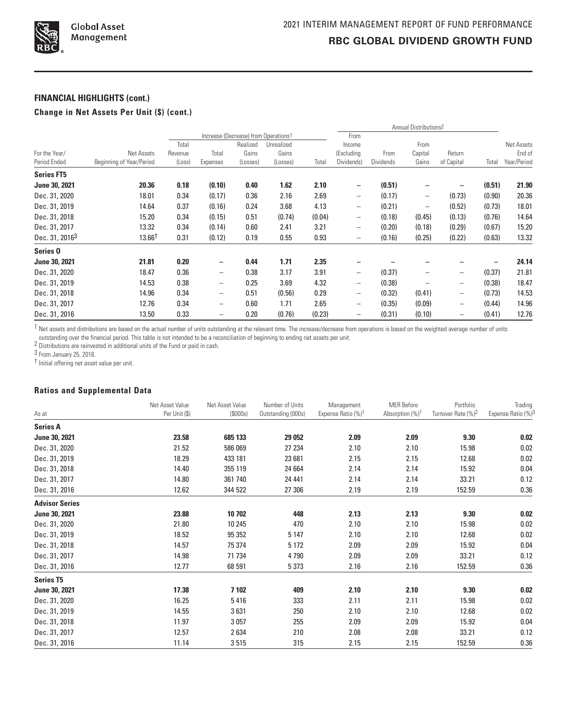

## **FINANCIAL HIGHLIGHTS (cont.)**

## **Change in Net Assets Per Unit (\$) (cont.)**

|                            |                          |         |                          |                                                  |            |        | Annual Distributions <sup>2</sup> |           |                          |                   |        |             |
|----------------------------|--------------------------|---------|--------------------------|--------------------------------------------------|------------|--------|-----------------------------------|-----------|--------------------------|-------------------|--------|-------------|
|                            |                          |         |                          | Increase (Decrease) from Operations <sup>1</sup> |            |        | From                              |           |                          |                   |        |             |
|                            |                          | Total   |                          | Realized                                         | Unrealized |        | Income                            |           | From                     |                   |        | Net Assets  |
| For the Year/              | Net Assets               | Revenue | Total                    | Gains                                            | Gains      |        | (Excluding                        | From      | Capital                  | Return            |        | End of      |
| Period Ended               | Beginning of Year/Period | (Loss)  | Expenses                 | (Losses)                                         | (Losses)   | Total  | Dividends)                        | Dividends | Gains                    | of Capital        | Total  | Year/Period |
| <b>Series FT5</b>          |                          |         |                          |                                                  |            |        |                                   |           |                          |                   |        |             |
| June 30, 2021              | 20.36                    | 0.18    | (0.10)                   | 0.40                                             | 1.62       | 2.10   | -                                 | (0.51)    |                          |                   | (0.51) | 21.90       |
| Dec. 31, 2020              | 18.01                    | 0.34    | (0.17)                   | 0.36                                             | 2.16       | 2.69   | $\qquad \qquad -$                 | (0.17)    | $\overline{\phantom{0}}$ | (0.73)            | (0.90) | 20.36       |
| Dec. 31, 2019              | 14.64                    | 0.37    | (0.16)                   | 0.24                                             | 3.68       | 4.13   | $\qquad \qquad -$                 | (0.21)    | $\overline{\phantom{0}}$ | (0.52)            | (0.73) | 18.01       |
| Dec. 31, 2018              | 15.20                    | 0.34    | (0.15)                   | 0.51                                             | (0.74)     | (0.04) | $\qquad \qquad -$                 | (0.18)    | (0.45)                   | (0.13)            | (0.76) | 14.64       |
| Dec. 31, 2017              | 13.32                    | 0.34    | (0.14)                   | 0.60                                             | 2.41       | 3.21   | $\qquad \qquad -$                 | (0.20)    | (0.18)                   | (0.29)            | (0.67) | 15.20       |
| Dec. 31, 2016 <sup>3</sup> | $13.66^{\dagger}$        | 0.31    | (0.12)                   | 0.19                                             | 0.55       | 0.93   | $\qquad \qquad -$                 | (0.16)    | (0.25)                   | (0.22)            | (0.63) | 13.32       |
| Series <sub>0</sub>        |                          |         |                          |                                                  |            |        |                                   |           |                          |                   |        |             |
| June 30, 2021              | 21.81                    | 0.20    | -                        | 0.44                                             | 1.71       | 2.35   |                                   |           |                          |                   |        | 24.14       |
| Dec. 31, 2020              | 18.47                    | 0.36    | $\overline{\phantom{0}}$ | 0.38                                             | 3.17       | 3.91   | $\qquad \qquad -$                 | (0.37)    |                          |                   | (0.37) | 21.81       |
| Dec. 31, 2019              | 14.53                    | 0.38    | $\qquad \qquad -$        | 0.25                                             | 3.69       | 4.32   | $\qquad \qquad -$                 | (0.38)    |                          | $\qquad \qquad -$ | (0.38) | 18.47       |
| Dec. 31, 2018              | 14.96                    | 0.34    | $\qquad \qquad -$        | 0.51                                             | (0.56)     | 0.29   | $\qquad \qquad -$                 | (0.32)    | (0.41)                   | $\qquad \qquad -$ | (0.73) | 14.53       |
| Dec. 31, 2017              | 12.76                    | 0.34    | $\overline{\phantom{0}}$ | 0.60                                             | 1.71       | 2.65   | $\qquad \qquad -$                 | (0.35)    | (0.09)                   | $\qquad \qquad -$ | (0.44) | 14.96       |
| Dec. 31, 2016              | 13.50                    | 0.33    |                          | 0.20                                             | (0.76)     | (0.23) | $\qquad \qquad$                   | (0.31)    | (0.10)                   | -                 | (0.41) | 12.76       |

 $1$  Net assets and distributions are based on the actual number of units outstanding at the relevant time. The increase/decrease from operations is based on the weighted average number of units

outstanding over the financial period. This table is not intended to be a reconciliation of beginning to ending net assets per unit.<br><sup>2</sup> Distributions are reinvested in additional units of the Fund or paid in cash.

3 From January 25, 2016.

† Initial offering net asset value per unit.

## **Ratios and Supplemental Data**

|                       | Net Asset Value | Net Asset Value | Number of Units    | Management                     | <b>MER Before</b>           | Portfolio                      | Trading            |
|-----------------------|-----------------|-----------------|--------------------|--------------------------------|-----------------------------|--------------------------------|--------------------|
| As at                 | Per Unit (\$)   | (S000s)         | Outstanding (000s) | Expense Ratio (%) <sup>1</sup> | Absorption (%) <sup>1</sup> | Turnover Rate (%) <sup>2</sup> | Expense Ratio (%)3 |
| <b>Series A</b>       |                 |                 |                    |                                |                             |                                |                    |
| June 30, 2021         | 23.58           | 685 133         | 29 052             | 2.09                           | 2.09                        | 9.30                           | 0.02               |
| Dec. 31, 2020         | 21.52           | 586 069         | 27 234             | 2.10                           | 2.10                        | 15.98                          | 0.02               |
| Dec. 31, 2019         | 18.29           | 433 181         | 23 681             | 2.15                           | 2.15                        | 12.68                          | 0.02               |
| Dec. 31, 2018         | 14.40           | 355 119         | 24 6 64            | 2.14                           | 2.14                        | 15.92                          | 0.04               |
| Dec. 31, 2017         | 14.80           | 361740          | 24 441             | 2.14                           | 2.14                        | 33.21                          | 0.12               |
| Dec. 31, 2016         | 12.62           | 344 522         | 27 306             | 2.19                           | 2.19                        | 152.59                         | 0.36               |
| <b>Advisor Series</b> |                 |                 |                    |                                |                             |                                |                    |
| June 30, 2021         | 23.88           | 10 702          | 448                | 2.13                           | 2.13                        | 9.30                           | 0.02               |
| Dec. 31, 2020         | 21.80           | 10 245          | 470                | 2.10                           | 2.10                        | 15.98                          | 0.02               |
| Dec. 31, 2019         | 18.52           | 95 352          | 5 1 4 7            | 2.10                           | 2.10                        | 12.68                          | 0.02               |
| Dec. 31, 2018         | 14.57           | 75 374          | 5 1 7 2            | 2.09                           | 2.09                        | 15.92                          | 0.04               |
| Dec. 31, 2017         | 14.98           | 71 734          | 4790               | 2.09                           | 2.09                        | 33.21                          | 0.12               |
| Dec. 31, 2016         | 12.77           | 68 591          | 5 3 7 3            | 2.16                           | 2.16                        | 152.59                         | 0.36               |
| <b>Series T5</b>      |                 |                 |                    |                                |                             |                                |                    |
| June 30, 2021         | 17.38           | 7102            | 409                | 2.10                           | 2.10                        | 9.30                           | 0.02               |
| Dec. 31, 2020         | 16.25           | 5416            | 333                | 2.11                           | 2.11                        | 15.98                          | 0.02               |
| Dec. 31, 2019         | 14.55           | 3631            | 250                | 2.10                           | 2.10                        | 12.68                          | 0.02               |
| Dec. 31, 2018         | 11.97           | 3057            | 255                | 2.09                           | 2.09                        | 15.92                          | 0.04               |
| Dec. 31, 2017         | 12.57           | 2634            | 210                | 2.08                           | 2.08                        | 33.21                          | 0.12               |
| Dec. 31, 2016         | 11.14           | 3515            | 315                | 2.15                           | 2.15                        | 152.59                         | 0.36               |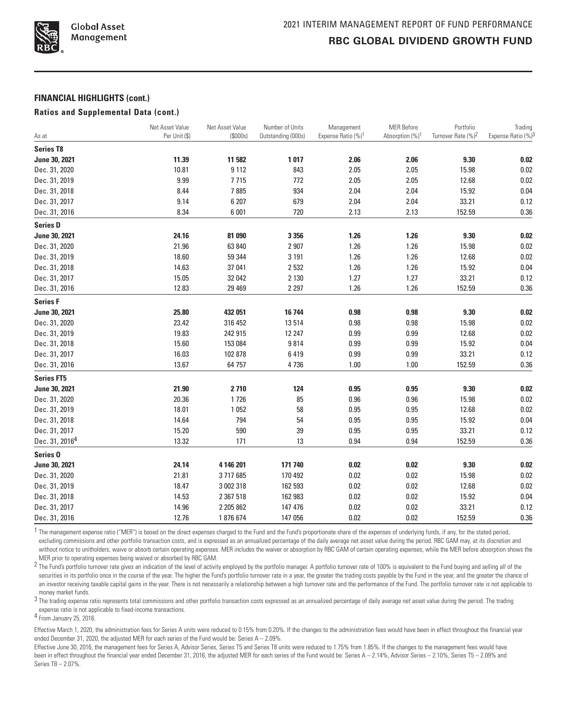

#### **FINANCIAL HIGHLIGHTS (cont.)**

#### **Ratios and Supplemental Data (cont.)**

|                            | Net Asset Value | Net Asset Value | Number of Units    | Management                     | <b>MER Before</b>           | Portfolio                      | Trading            |
|----------------------------|-----------------|-----------------|--------------------|--------------------------------|-----------------------------|--------------------------------|--------------------|
| As at                      | Per Unit (\$)   | (S000s)         | Outstanding (000s) | Expense Ratio (%) <sup>1</sup> | Absorption (%) <sup>1</sup> | Turnover Rate (%) <sup>2</sup> | Expense Ratio (%)3 |
| <b>Series T8</b>           |                 |                 |                    |                                |                             |                                |                    |
| June 30, 2021              | 11.39           | 11 582          | 1017               | 2.06                           | 2.06                        | 9.30                           | 0.02               |
| Dec. 31, 2020              | 10.81           | 9112            | 843                | 2.05                           | 2.05                        | 15.98                          | 0.02               |
| Dec. 31, 2019              | 9.99            | 7715            | 772                | 2.05                           | 2.05                        | 12.68                          | 0.02               |
| Dec. 31, 2018              | 8.44            | 7885            | 934                | 2.04                           | 2.04                        | 15.92                          | 0.04               |
| Dec. 31, 2017              | 9.14            | 6 207           | 679                | 2.04                           | 2.04                        | 33.21                          | 0.12               |
| Dec. 31, 2016              | 8.34            | 6 0 0 1         | 720                | 2.13                           | 2.13                        | 152.59                         | $0.36\,$           |
| <b>Series D</b>            |                 |                 |                    |                                |                             |                                |                    |
| June 30, 2021              | 24.16           | 81 090          | 3 3 5 6            | 1.26                           | 1.26                        | 9.30                           | 0.02               |
| Dec. 31, 2020              | 21.96           | 63 840          | 2 9 0 7            | 1.26                           | 1.26                        | 15.98                          | 0.02               |
| Dec. 31, 2019              | 18.60           | 59 344          | 3 1 9 1            | 1.26                           | 1.26                        | 12.68                          | 0.02               |
| Dec. 31, 2018              | 14.63           | 37 041          | 2532               | 1.26                           | 1.26                        | 15.92                          | 0.04               |
| Dec. 31, 2017              | 15.05           | 32 042          | 2 1 3 0            | 1.27                           | 1.27                        | 33.21                          | 0.12               |
| Dec. 31, 2016              | 12.83           | 29 4 69         | 2 2 9 7            | 1.26                           | 1.26                        | 152.59                         | 0.36               |
| <b>Series F</b>            |                 |                 |                    |                                |                             |                                |                    |
| June 30, 2021              | 25.80           | 432 051         | 16744              | 0.98                           | 0.98                        | 9.30                           | 0.02               |
| Dec. 31, 2020              | 23.42           | 316 452         | 13514              | 0.98                           | 0.98                        | 15.98                          | 0.02               |
| Dec. 31, 2019              | 19.83           | 242 915         | 12 247             | 0.99                           | 0.99                        | 12.68                          | $0.02\,$           |
| Dec. 31, 2018              | 15.60           | 153 084         | 9814               | 0.99                           | 0.99                        | 15.92                          | 0.04               |
| Dec. 31, 2017              | 16.03           | 102 878         | 6419               | 0.99                           | 0.99                        | 33.21                          | 0.12               |
| Dec. 31, 2016              | 13.67           | 64 757          | 4736               | 1.00                           | 1.00                        | 152.59                         | $0.36\,$           |
| <b>Series FT5</b>          |                 |                 |                    |                                |                             |                                |                    |
| June 30, 2021              | 21.90           | 2710            | 124                | 0.95                           | 0.95                        | 9.30                           | 0.02               |
| Dec. 31, 2020              | 20.36           | 1726            | 85                 | 0.96                           | 0.96                        | 15.98                          | $0.02\,$           |
| Dec. 31, 2019              | 18.01           | 1052            | 58                 | 0.95                           | 0.95                        | 12.68                          | 0.02               |
| Dec. 31, 2018              | 14.64           | 794             | 54                 | 0.95                           | 0.95                        | 15.92                          | 0.04               |
| Dec. 31, 2017              | 15.20           | 590             | 39                 | 0.95                           | 0.95                        | 33.21                          | 0.12               |
| Dec. 31, 2016 <sup>4</sup> | 13.32           | 171             | 13                 | 0.94                           | 0.94                        | 152.59                         | 0.36               |
| Series <sub>0</sub>        |                 |                 |                    |                                |                             |                                |                    |
| June 30, 2021              | 24.14           | 4 146 201       | 171 740            | 0.02                           | 0.02                        | 9.30                           | 0.02               |
| Dec. 31, 2020              | 21.81           | 3717685         | 170 492            | 0.02                           | 0.02                        | 15.98                          | 0.02               |
| Dec. 31, 2019              | 18.47           | 3 002 318       | 162 593            | 0.02                           | 0.02                        | 12.68                          | 0.02               |
| Dec. 31, 2018              | 14.53           | 2 367 518       | 162 983            | 0.02                           | 0.02                        | 15.92                          | 0.04               |
| Dec. 31, 2017              | 14.96           | 2 205 862       | 147 476            | 0.02                           | 0.02                        | 33.21                          | 0.12               |
| Dec. 31, 2016              | 12.76           | 1876674         | 147 056            | 0.02                           | 0.02                        | 152.59                         | 0.36               |

1 The management expense ratio ("MER") is based on the direct expenses charged to the Fund and the Fund's proportionate share of the expenses of underlying funds, if any, for the stated period, excluding commissions and other portfolio transaction costs, and is expressed as an annualized percentage of the daily average net asset value during the period. RBC GAM may, at its discretion and without notice to unitholders, waive or absorb certain operating expenses. MER includes the waiver or absorption by RBC GAM of certain operating expenses, while the MER before absorption shows the MER prior to operating expenses being waived or absorbed by RBC GAM.

2 The Fund's portfolio turnover rate gives an indication of the level of activity employed by the portfolio manager. A portfolio turnover rate of 100% is equivalent to the Fund buying and selling all of the securities in its portfolio once in the course of the year. The higher the Fund's portfolio turnover rate in a year, the greater the trading costs payable by the Fund in the year, and the greater the chance of an investor receiving taxable capital gains in the year. There is not necessarily a relationship between a high turnover rate and the performance of the Fund. The portfolio turnover rate is not applicable to money market funds.

3 The trading expense ratio represents total commissions and other portfolio transaction costs expressed as an annualized percentage of daily average net asset value during the period. The trading 3 The trading expense rat expense ratio is not applicable to fixed-income transactions.

4 From January 25, 2016.

Effective March 1, 2020, the administration fees for Series A units were reduced to 0.15% from 0.20%. If the changes to the administration fees would have been in effect throughout the financial year ended December 31, 2020, the adjusted MER for each series of the Fund would be: Series A – 2.09%.

Effective June 30, 2016, the management fees for Series A, Advisor Series, Series T5 and Series T8 units were reduced to 1.75% from 1.85%. If the changes to the management fees would have been in effect throughout the financial year ended December 31, 2016, the adjusted MER for each series of the Fund would be: Series A - 2.14%, Advisor Series - 2.10%, Series T5 - 2.09% and Series T8 – 2.07%.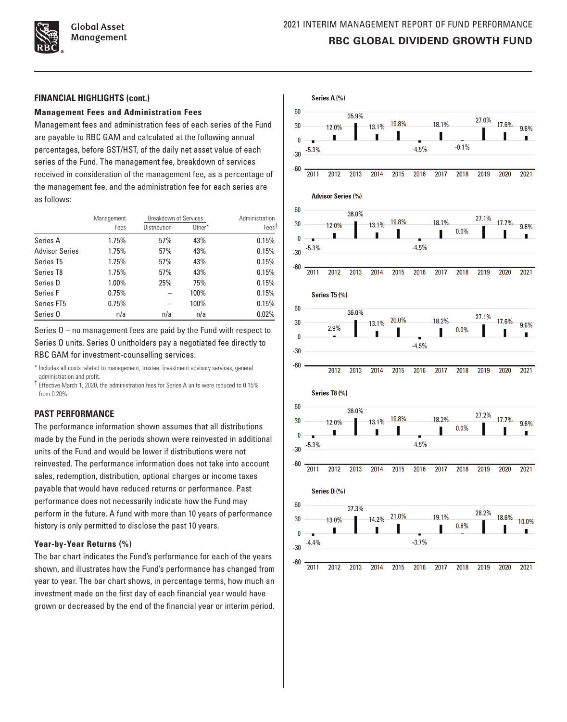

**Global Asset** Management

#### **FINANCIAL HIGHLIGHTS (cont.)**

#### **Management Fees and Administration Fees**

Management fees and administration fees of each series of the Fund are payable to RBC GAM and calculated at the following annual percentages, before GST/HST, of the daily net asset value of each series of the Fund. The management fee, breakdown of services received in consideration of the management fee, as a percentage of the management fee, and the administration fee for each series are as follows:

|                       | Management | <b>Breakdown of Services</b> |        | Administration    |  |
|-----------------------|------------|------------------------------|--------|-------------------|--|
|                       | Fees       | Distribution                 | Other* | Fees <sup>†</sup> |  |
| Series A              | 1.75%      | 57%                          | 43%    | 0.15%             |  |
| <b>Advisor Series</b> | 1.75%      | 57%                          | 43%    | 0.15%             |  |
| Series T5             | 1.75%      | 57%                          | 43%    | 0.15%             |  |
| Series T8             | 1.75%      | 57%                          | 43%    | 0.15%             |  |
| Series D              | 1.00%      | 25%                          | 75%    | 0.15%             |  |
| Series F              | 0.75%      |                              | 100%   | 0.15%             |  |
| Series FT5            | 0.75%      |                              | 100%   | 0.15%             |  |
| Series <sub>0</sub>   | n/a        | n/a                          | n/a    | 0.02%             |  |

Series O – no management fees are paid by the Fund with respect to Series O units. Series O unitholders pay a negotiated fee directly to

RBC GAM for investment-counselling services.

\* Includes all costs related to management, trustee, investment advisory services, general administration and profit.

† Effective March 1, 2020, the administration fees for Series A units were reduced to 0.15% from 0.20%

# **PAST PERFORMANCE**

The performance information shown assumes that all distributions made by the Fund in the periods shown were reinvested in additional units of the Fund and would be lower if distributions were not reinvested. The performance information does not take into account sales, redemption, distribution, optional charges or income taxes payable that would have reduced returns or performance. Past performance does not necessarily indicate how the Fund may perform in the future. A fund with more than 10 years of performance history is only permitted to disclose the past 10 years.

#### **Year‑by‑Year Returns (%)**

The bar chart indicates the Fund's performance for each of the years shown, and illustrates how the Fund's performance has changed from year to year. The bar chart shows, in percentage terms, how much an investment made on the first day of each financial year would have grown or decreased by the end of the financial year or interim period.